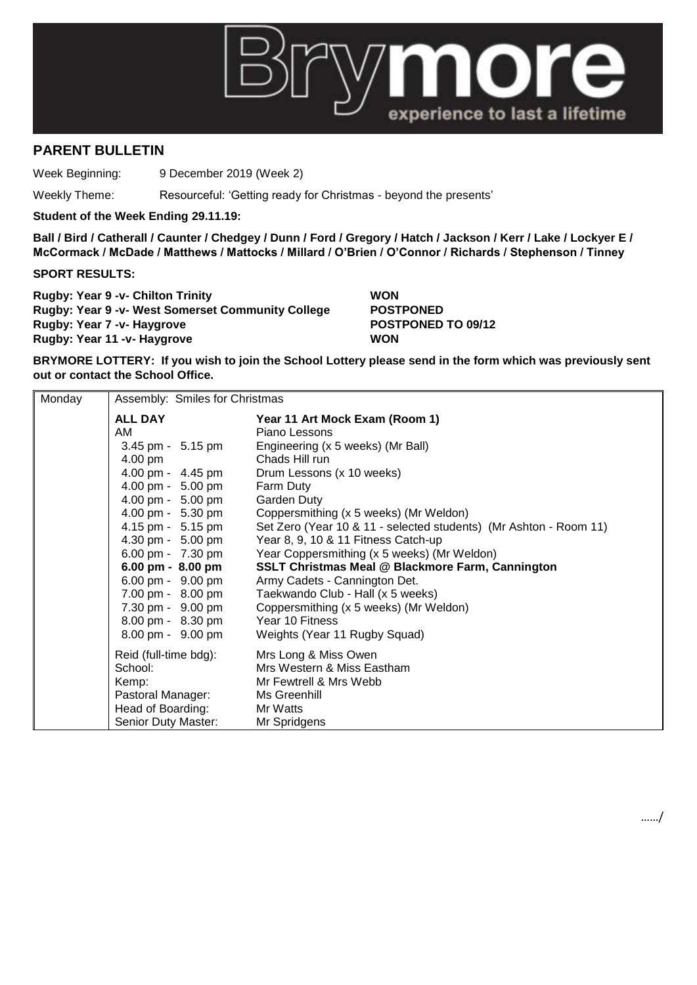

## **PARENT BULLETIN**

Week Beginning: 9 December 2019 (Week 2)

Weekly Theme: Resourceful: 'Getting ready for Christmas - beyond the presents'

**Student of the Week Ending 29.11.19:**

**Ball / Bird / Catherall / Caunter / Chedgey / Dunn / Ford / Gregory / Hatch / Jackson / Kerr / Lake / Lockyer E / McCormack / McDade / Matthews / Mattocks / Millard / O'Brien / O'Connor / Richards / Stephenson / Tinney**

## **SPORT RESULTS:**

**Rugby: Year 9 -v- Chilton Trinity WON Rugby: Year 9 -v- West Somerset Community College POSTPONED Rugby: Year 7 -v- Haygrove POSTPONED TO 09/12 Rugby: Year 11 -v- Haygrove WON**

……/

**BRYMORE LOTTERY: If you wish to join the School Lottery please send in the form which was previously sent out or contact the School Office.**

| Monday | Assembly: Smiles for Christmas |                                                                   |  |
|--------|--------------------------------|-------------------------------------------------------------------|--|
|        | <b>ALL DAY</b>                 | Year 11 Art Mock Exam (Room 1)                                    |  |
|        | AM.                            | Piano Lessons                                                     |  |
|        | 3.45 pm - 5.15 pm              | Engineering (x 5 weeks) (Mr Ball)                                 |  |
|        | $4.00 \text{ pm}$              | Chads Hill run                                                    |  |
|        | 4.00 pm - 4.45 pm              | Drum Lessons (x 10 weeks)                                         |  |
|        | 4.00 pm - 5.00 pm              | Farm Duty                                                         |  |
|        | 4.00 pm - 5.00 pm              | Garden Duty                                                       |  |
|        | 4.00 pm - 5.30 pm              | Coppersmithing (x 5 weeks) (Mr Weldon)                            |  |
|        | 4.15 pm - 5.15 pm              | Set Zero (Year 10 & 11 - selected students) (Mr Ashton - Room 11) |  |
|        | 4.30 pm - 5.00 pm              | Year 8, 9, 10 & 11 Fitness Catch-up                               |  |
|        | 6.00 pm - 7.30 pm              | Year Coppersmithing (x 5 weeks) (Mr Weldon)                       |  |
|        | 6.00 pm - 8.00 pm              | <b>SSLT Christmas Meal @ Blackmore Farm, Cannington</b>           |  |
|        | 6.00 pm - 9.00 pm              | Army Cadets - Cannington Det.                                     |  |
|        | 7.00 pm - 8.00 pm              | Taekwando Club - Hall (x 5 weeks)                                 |  |
|        | 7.30 pm - 9.00 pm              | Coppersmithing (x 5 weeks) (Mr Weldon)                            |  |
|        | 8.00 pm - 8.30 pm              | Year 10 Fitness                                                   |  |
|        | 8.00 pm - 9.00 pm              | Weights (Year 11 Rugby Squad)                                     |  |
|        | Reid (full-time bdg):          | Mrs Long & Miss Owen                                              |  |
|        | School:                        | Mrs Western & Miss Eastham                                        |  |
|        | Kemp:                          | Mr Fewtrell & Mrs Webb                                            |  |
|        | Pastoral Manager:              | Ms Greenhill                                                      |  |
|        | Head of Boarding:              | Mr Watts                                                          |  |
|        | Senior Duty Master:            | Mr Spridgens                                                      |  |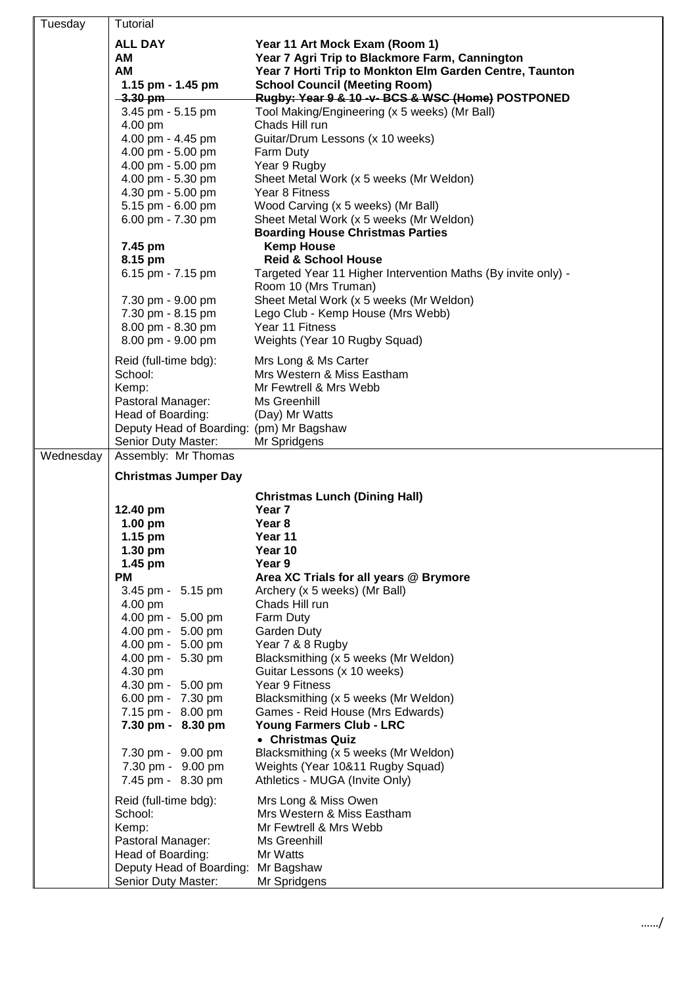| Tuesday   | Tutorial                                                                                                                                               |                                                                                                                                                                                                                                          |
|-----------|--------------------------------------------------------------------------------------------------------------------------------------------------------|------------------------------------------------------------------------------------------------------------------------------------------------------------------------------------------------------------------------------------------|
|           | <b>ALL DAY</b><br>AM<br>AM<br>1.15 pm - 1.45 pm<br>$-3.30$ pm                                                                                          | Year 11 Art Mock Exam (Room 1)<br>Year 7 Agri Trip to Blackmore Farm, Cannington<br>Year 7 Horti Trip to Monkton Elm Garden Centre, Taunton<br><b>School Council (Meeting Room)</b><br>Rugby: Year 9 & 10 -v- BCS & WSC (Home) POSTPONED |
|           | 3.45 pm - 5.15 pm<br>4.00 pm<br>4.00 pm - 4.45 pm<br>4.00 pm - 5.00 pm                                                                                 | Tool Making/Engineering (x 5 weeks) (Mr Ball)<br>Chads Hill run<br>Guitar/Drum Lessons (x 10 weeks)<br>Farm Duty                                                                                                                         |
|           | 4.00 pm - 5.00 pm<br>4.00 pm - 5.30 pm<br>4.30 pm - 5.00 pm<br>5.15 pm - 6.00 pm<br>6.00 pm - 7.30 pm                                                  | Year 9 Rugby<br>Sheet Metal Work (x 5 weeks (Mr Weldon)<br>Year 8 Fitness<br>Wood Carving (x 5 weeks) (Mr Ball)<br>Sheet Metal Work (x 5 weeks (Mr Weldon)                                                                               |
|           | 7.45 pm<br>8.15 pm<br>6.15 pm - 7.15 pm                                                                                                                | <b>Boarding House Christmas Parties</b><br><b>Kemp House</b><br><b>Reid &amp; School House</b><br>Targeted Year 11 Higher Intervention Maths (By invite only) -<br>Room 10 (Mrs Truman)                                                  |
|           | 7.30 pm - 9.00 pm<br>7.30 pm - 8.15 pm<br>8.00 pm - 8.30 pm<br>8.00 pm - 9.00 pm                                                                       | Sheet Metal Work (x 5 weeks (Mr Weldon)<br>Lego Club - Kemp House (Mrs Webb)<br>Year 11 Fitness<br>Weights (Year 10 Rugby Squad)                                                                                                         |
|           | Reid (full-time bdg):<br>School:<br>Kemp:<br>Pastoral Manager:<br>Head of Boarding:<br>Deputy Head of Boarding: (pm) Mr Bagshaw<br>Senior Duty Master: | Mrs Long & Ms Carter<br>Mrs Western & Miss Eastham<br>Mr Fewtrell & Mrs Webb<br>Ms Greenhill<br>(Day) Mr Watts<br>Mr Spridgens                                                                                                           |
| Wednesday | Assembly: Mr Thomas                                                                                                                                    |                                                                                                                                                                                                                                          |
|           | <b>Christmas Jumper Day</b>                                                                                                                            |                                                                                                                                                                                                                                          |
|           | 12.40 pm<br>$1.00$ pm                                                                                                                                  | <b>Christmas Lunch (Dining Hall)</b><br>Year 7<br>Year 8                                                                                                                                                                                 |
|           | 1.15 pm<br>1.30 pm<br>1.45 pm<br><b>PM</b>                                                                                                             | Year 11<br>Year 10<br>Year 9<br>Area XC Trials for all years @ Brymore                                                                                                                                                                   |
|           | 3.45 pm - 5.15 pm<br>4.00 pm<br>4.00 pm - 5.00 pm<br>4.00 pm - 5.00 pm<br>4.00 pm - 5.00 pm<br>4.00 pm - 5.30 pm<br>4.30 pm<br>4.30 pm - 5.00 pm       | Archery (x 5 weeks) (Mr Ball)<br>Chads Hill run<br>Farm Duty<br>Garden Duty<br>Year 7 & 8 Rugby<br>Blacksmithing (x 5 weeks (Mr Weldon)<br>Guitar Lessons (x 10 weeks)<br>Year 9 Fitness                                                 |
|           | 6.00 pm - 7.30 pm<br>7.15 pm - 8.00 pm<br>7.30 pm - 8.30 pm<br>7.30 pm - 9.00 pm                                                                       | Blacksmithing (x 5 weeks (Mr Weldon)<br>Games - Reid House (Mrs Edwards)<br>Young Farmers Club - LRC<br>• Christmas Quiz<br>Blacksmithing (x 5 weeks (Mr Weldon)                                                                         |
|           | 7.30 pm - 9.00 pm<br>7.45 pm - 8.30 pm                                                                                                                 | Weights (Year 10&11 Rugby Squad)<br>Athletics - MUGA (Invite Only)                                                                                                                                                                       |
|           | Reid (full-time bdg):<br>School:<br>Kemp:<br>Pastoral Manager:<br>Head of Boarding:<br>Deputy Head of Boarding:<br>Senior Duty Master:                 | Mrs Long & Miss Owen<br>Mrs Western & Miss Eastham<br>Mr Fewtrell & Mrs Webb<br>Ms Greenhill<br>Mr Watts<br>Mr Bagshaw<br>Mr Spridgens                                                                                                   |